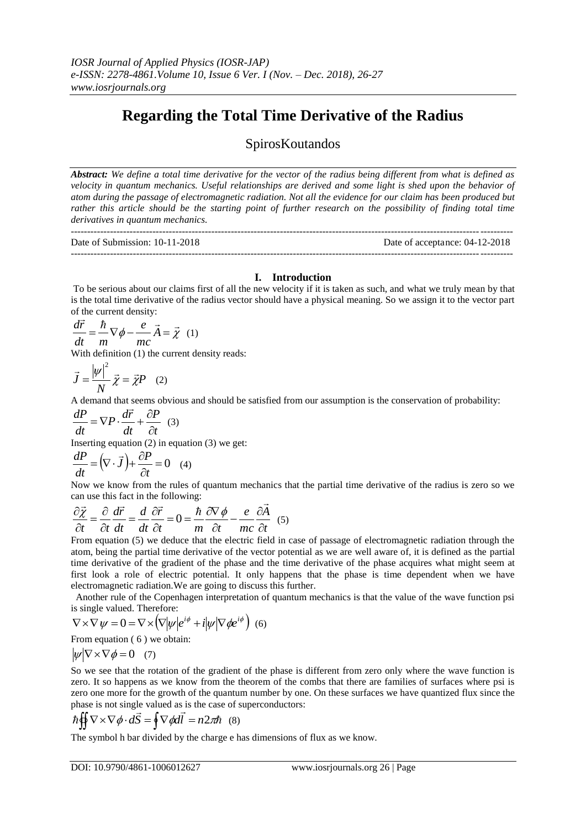## **Regarding the Total Time Derivative of the Radius**

## SpirosKoutandos

*Abstract: We define a total time derivative for the vector of the radius being different from what is defined as velocity in quantum mechanics. Useful relationships are derived and some light is shed upon the behavior of atom during the passage of electromagnetic radiation. Not all the evidence for our claim has been produced but*  rather this article should be the starting point of further research on the possibility of finding total time *derivatives in quantum mechanics.*

---------------------------------------------------------------------------------------------------------------------------------------

Date of Submission: 10-11-2018 Date of acceptance: 04-12-2018 ---------------------------------------------------------------------------------------------------------------------------------------

## **I. Introduction**

To be serious about our claims first of all the new velocity if it is taken as such, and what we truly mean by that is the total time derivative of the radius vector should have a physical meaning. So we assign it to the vector part of the current density:

$$
\frac{d\vec{r}}{dt} = \frac{\hbar}{m} \nabla \phi - \frac{e}{mc} \vec{A} = \vec{\chi}
$$
 (1)

With definition (1) the current density reads:

$$
\vec{J} = \frac{|\psi|^2}{N} \vec{\chi} = \vec{\chi}P \quad (2)
$$

A demand that seems obvious and should be satisfied from our assumption is the conservation of probability:<br> $\vec{E} = \vec{E} \cdot \vec{E}$ 

$$
\frac{dP}{dt} = \nabla P \cdot \frac{d\vec{r}}{dt} + \frac{\partial P}{\partial t} \quad (3)
$$

Inserting equation (2) in equation (3) we get:

$$
\frac{dP}{dt} = (\nabla \cdot \vec{J}) + \frac{\partial P}{\partial t} = 0 \quad (4)
$$

Now we know from the rules of quantum mechanics that the partial time derivative of the radius is zero so we can use this fact in the following:<br> $2\vec{r}$   $\vec{r}$   $\vec{r}$   $\vec{r}$   $\vec{r}$  $\overline{a}$ 

$$
\frac{\partial \vec{\chi}}{\partial t} = \frac{\partial}{\partial t} \frac{d\vec{r}}{dt} = \frac{d}{dt} \frac{\partial \vec{r}}{\partial t} = 0 = \frac{\hbar}{m} \frac{\partial \nabla \phi}{\partial t} - \frac{e}{mc} \frac{\partial \vec{A}}{\partial t} \quad (5)
$$

From equation (5) we deduce that the electric field in case of passage of electromagnetic radiation through the atom, being the partial time derivative of the vector potential as we are well aware of, it is defined as the partial time derivative of the gradient of the phase and the time derivative of the phase acquires what might seem at first look a role of electric potential. It only happens that the phase is time dependent when we have electromagnetic radiation.We are going to discuss this further.

 Another rule of the Copenhagen interpretation of quantum mechanics is that the value of the wave function psi is single valued. Therefore:

$$
\nabla \times \nabla \psi = 0 = \nabla \times (\nabla |\psi| e^{i\phi} + i |\psi| \nabla \phi e^{i\phi})
$$
 (6)

From equation  $(6)$  we obtain:

 $|\psi| \nabla \times \nabla \phi = 0$  (7)

So we see that the rotation of the gradient of the phase is different from zero only where the wave function is zero. It so happens as we know from the theorem of the combs that there are families of surfaces where psi is zero one more for the growth of the quantum number by one. On these surfaces we have quantized flux since the phase is not single valued as is the case of superconductors:

$$
\hbar \iint \nabla \times \nabla \phi \cdot d\vec{S} = \oint \nabla \phi d\vec{l} = n2\pi \hbar \quad (8)
$$

The symbol h bar divided by the charge e has dimensions of flux as we know.